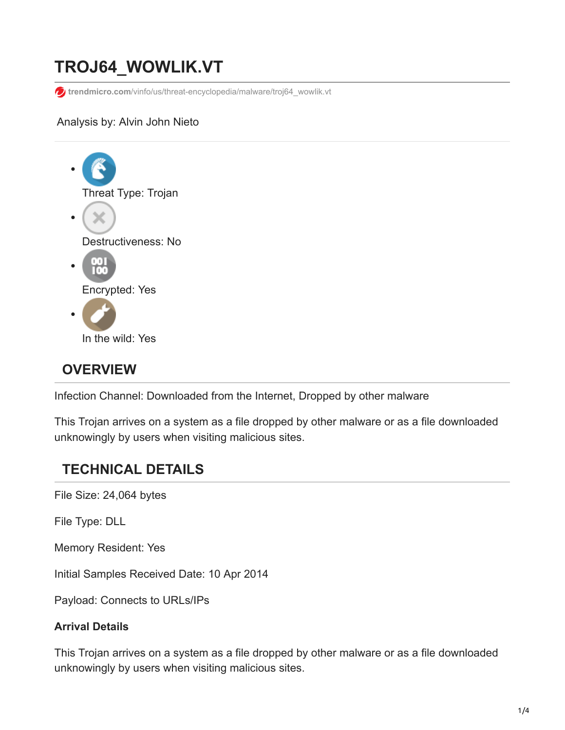# **TROJ64\_WOWLIK.VT**

**trendmicro.com**[/vinfo/us/threat-encyclopedia/malware/troj64\\_wowlik.vt](https://www.trendmicro.com/vinfo/us/threat-encyclopedia/malware/troj64_wowlik.vt)

#### Analysis by: Alvin John Nieto



# **OVERVIEW**

Infection Channel: Downloaded from the Internet, Dropped by other malware

This Trojan arrives on a system as a file dropped by other malware or as a file downloaded unknowingly by users when visiting malicious sites.

# **TECHNICAL DETAILS**

File Size: 24,064 bytes

File Type: DLL

Memory Resident: Yes

Initial Samples Received Date: 10 Apr 2014

Payload: Connects to URLs/IPs

#### **Arrival Details**

This Trojan arrives on a system as a file dropped by other malware or as a file downloaded unknowingly by users when visiting malicious sites.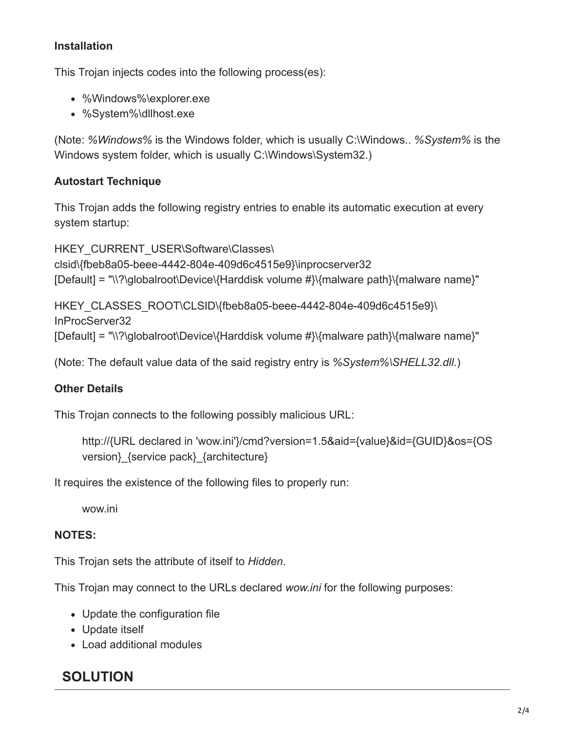## **Installation**

This Trojan injects codes into the following process(es):

- %Windows%\explorer.exe
- %System%\dllhost.exe

(Note: *%Windows%* is the Windows folder, which is usually C:\Windows.. *%System%* is the Windows system folder, which is usually C:\Windows\System32.)

#### **Autostart Technique**

This Trojan adds the following registry entries to enable its automatic execution at every system startup:

HKEY\_CURRENT\_USER\Software\Classes\ clsid\{fbeb8a05-beee-4442-804e-409d6c4515e9}\inprocserver32 [Default] = "\\?\globalroot\Device\{Harddisk volume #}\{malware path}\{malware name}"

HKEY CLASSES ROOT\CLSID\{fbeb8a05-beee-4442-804e-409d6c4515e9}\ InProcServer32 [Default] = "\\?\globalroot\Device\{Harddisk volume #}\{malware path}\{malware name}"

(Note: The default value data of the said registry entry is *%System%\SHELL32.dll*.)

#### **Other Details**

This Trojan connects to the following possibly malicious URL:

http://{URL declared in 'wow.ini'}/cmd?version=1.5&aid={value}&id={GUID}&os={OS version} {service pack} {architecture}

It requires the existence of the following files to properly run:

wow.ini

#### **NOTES:**

This Trojan sets the attribute of itself to *Hidden*.

This Trojan may connect to the URLs declared *wow.ini* for the following purposes:

- Update the configuration file
- Update itself
- Load additional modules

# **SOLUTION**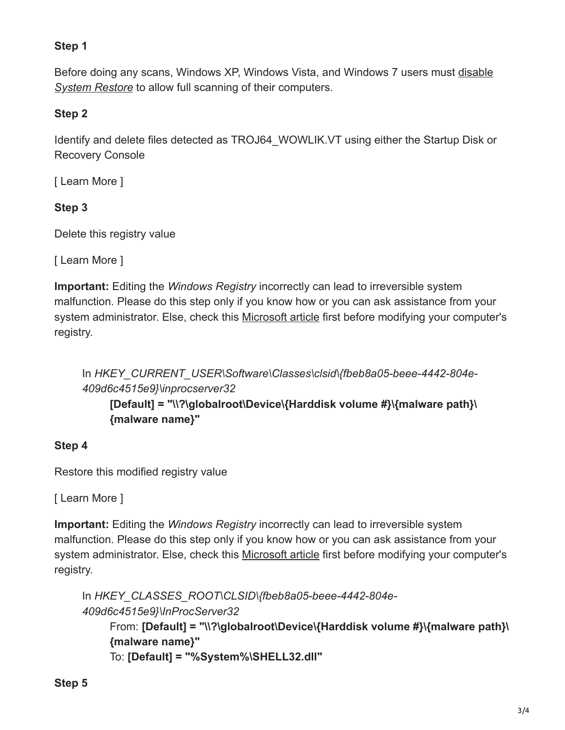# **Step 1**

[Before doing any scans, Windows XP, Windows Vista, and Windows 7 users must disable](https://www.trendmicro.com/vinfo/us/security/definition/system-restore) *System Restore* to allow full scanning of their computers.

### **Step 2**

Identify and delete files detected as TROJ64\_WOWLIK.VT using either the Startup Disk or Recovery Console

[ Learn More ]

## **Step 3**

Delete this registry value

[ Learn More ]

**Important:** Editing the *Windows Registry* incorrectly can lead to irreversible system malfunction. Please do this step only if you know how or you can ask assistance from your system administrator. Else, check this [Microsoft article](http://support.microsoft.com/kb/256986/EN-US/) first before modifying your computer's registry.

In *HKEY\_CURRENT\_USER\Software\Classes\clsid\{fbeb8a05-beee-4442-804e-409d6c4515e9}\inprocserver32*

**[Default] = "\\?\globalroot\Device\{Harddisk volume #}\{malware path}\ {malware name}"**

## **Step 4**

Restore this modified registry value

[ Learn More ]

**Important:** Editing the *Windows Registry* incorrectly can lead to irreversible system malfunction. Please do this step only if you know how or you can ask assistance from your system administrator. Else, check this [Microsoft article](http://support.microsoft.com/kb/256986/EN-US/) first before modifying your computer's registry.

```
In HKEY_CLASSES_ROOT\CLSID\{fbeb8a05-beee-4442-804e-
409d6c4515e9}\InProcServer32
    From: [Default] = "\\?\globalroot\Device\{Harddisk volume #}\{malware path}\
    {malware name}"
    To: [Default] = "%System%\SHELL32.dll"
```